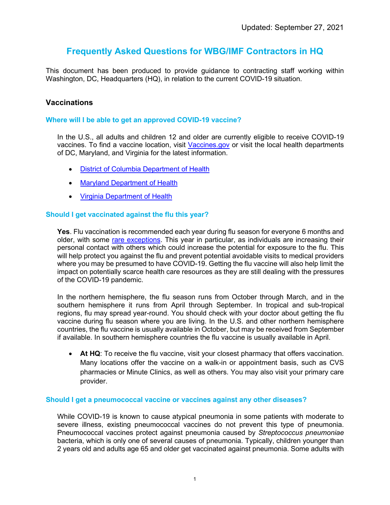# **Frequently Asked Questions for WBG/IMF Contractors in HQ**

This document has been produced to provide guidance to contracting staff working within Washington, DC, Headquarters (HQ), in relation to the current COVID-19 situation.

### **Vaccinations**

#### **Where will I be able to get an approved COVID-19 vaccine?**

In the U.S., all adults and children 12 and older are currently eligible to receive COVID-19 vaccines. To find a vaccine location, visit [Vaccines.gov](https://www.vaccines.gov/) or visit the local health departments of DC, Maryland, and Virginia for the latest information.

- [District of Columbia Department of Health](https://coronavirus.dc.gov/vaccine)
- [Maryland Department of Health](https://covidlink.maryland.gov/content/vaccine/)
- [Virginia Department of Health](https://www.vdh.virginia.gov/covid-19-vaccine/)

#### **Should I get vaccinated against the flu this year?**

**Yes**. Flu vaccination is recommended each year during flu season for everyone 6 months and older, with some [rare exceptions.](https://www.cdc.gov/flu/prevent/whoshouldvax.htm) This year in particular, as individuals are increasing their personal contact with others which could increase the potential for exposure to the flu. This will help protect you against the flu and prevent potential avoidable visits to medical providers where you may be presumed to have COVID-19. Getting the flu vaccine will also help limit the impact on potentially scarce health care resources as they are still dealing with the pressures of the COVID-19 pandemic.

In the northern hemisphere, the flu season runs from October through March, and in the southern hemisphere it runs from April through September. In tropical and sub-tropical regions, flu may spread year-round. You should check with your doctor about getting the flu vaccine during flu season where you are living. In the U.S. and other northern hemisphere countries, the flu vaccine is usually available in October, but may be received from September if available. In southern hemisphere countries the flu vaccine is usually available in April.

• **At HQ**: To receive the flu vaccine, visit your closest pharmacy that offers vaccination. Many locations offer the vaccine on a walk-in or appointment basis, such as CVS pharmacies or Minute Clinics, as well as others. You may also visit your primary care provider.

#### **Should I get a pneumococcal vaccine or vaccines against any other diseases?**

While COVID-19 is known to cause atypical pneumonia in some patients with moderate to severe illness, existing pneumococcal vaccines do not prevent this type of pneumonia. Pneumococcal vaccines protect against pneumonia caused by *Streptococcus pneumoniae* bacteria, which is only one of several causes of pneumonia. Typically, children younger than 2 years old and adults age 65 and older get vaccinated against pneumonia. Some adults with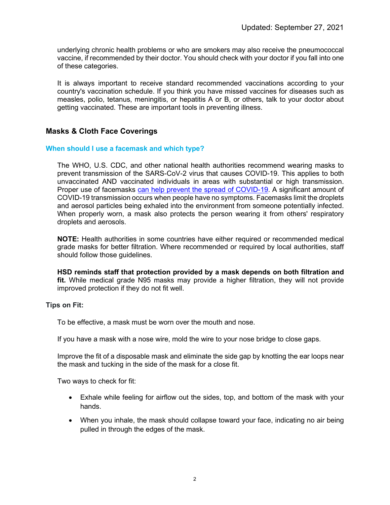underlying chronic health problems or who are smokers may also receive the pneumococcal vaccine, if recommended by their doctor. You should check with your doctor if you fall into one of these categories.

It is always important to receive standard recommended vaccinations according to your country's vaccination schedule. If you think you have missed vaccines for diseases such as measles, polio, tetanus, meningitis, or hepatitis A or B, or others, talk to your doctor about getting vaccinated. These are important tools in preventing illness.

# **Masks & Cloth Face Coverings**

### **When should I use a facemask and which type?**

The WHO, U.S. CDC, and other national health authorities recommend wearing masks to prevent transmission of the SARS-CoV-2 virus that causes COVID-19. This applies to both unvaccinated AND vaccinated individuals in areas with substantial or high transmission. Proper use of facemasks [can help prevent the spread of COVID-19.](https://www.cdc.gov/coronavirus/2019-ncov/more/masking-science-sars-cov2.html) A significant amount of COVID-19 transmission occurs when people have no symptoms. Facemasks limit the droplets and aerosol particles being exhaled into the environment from someone potentially infected. When properly worn, a mask also protects the person wearing it from others' respiratory droplets and aerosols.

**NOTE:** Health authorities in some countries have either required or recommended medical grade masks for better filtration. Where recommended or required by local authorities, staff should follow those guidelines.

**HSD reminds staff that protection provided by a mask depends on both filtration and fit.** While medical grade N95 masks may provide a higher filtration, they will not provide improved protection if they do not fit well.

### **Tips on Fit:**

To be effective, a mask must be worn over the mouth and nose.

If you have a mask with a nose wire, mold the wire to your nose bridge to close gaps.

Improve the fit of a disposable mask and eliminate the side gap by knotting the ear loops near the mask and tucking in the side of the mask for a close fit.

Two ways to check for fit:

- Exhale while feeling for airflow out the sides, top, and bottom of the mask with your hands.
- When you inhale, the mask should collapse toward your face, indicating no air being pulled in through the edges of the mask.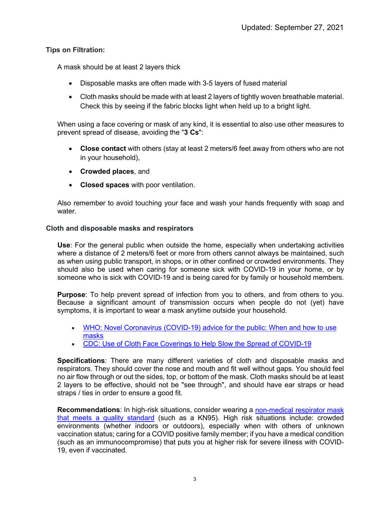# **Tips on Filtration:**

A mask should be at least 2 layers thick

- Disposable masks are often made with 3-5 layers of fused material
- Cloth masks should be made with at least 2 layers of tightly woven breathable material. Check this by seeing if the fabric blocks light when held up to a bright light.

When using a face covering or mask of any kind, it is essential to also use other measures to prevent spread of disease, avoiding the "**3 Cs**":

- **Close contact** with others (stay at least 2 meters/6 feet away from others who are not in your household),
- **Crowded places**, and
- **Closed spaces** with poor ventilation.

Also remember to avoid touching your face and wash your hands frequently with soap and water.

# **Cloth and disposable masks and respirators**

**Use**: For the general public when outside the home, especially when undertaking activities where a distance of 2 meters/6 feet or more from others cannot always be maintained, such as when using public transport, in shops, or in other confined or crowded environments. They should also be used when caring for someone sick with COVID-19 in your home, or by someone who is sick with COVID-19 and is being cared for by family or household members.

**Purpose**: To help prevent spread of infection from you to others, and from others to you. Because a significant amount of transmission occurs when people do not (yet) have symptoms, it is important to wear a mask anytime outside your household.

- [WHO: Novel Coronavirus \(COVID-19\) advice for the public: When and how to use](https://www.who.int/emergencies/diseases/novel-coronavirus-2019/advice-for-public/when-and-how-to-use-masks)  [masks](https://www.who.int/emergencies/diseases/novel-coronavirus-2019/advice-for-public/when-and-how-to-use-masks)
- [CDC: Use of Cloth Face Coverings to Help Slow the Spread of COVID-19](https://www.cdc.gov/coronavirus/2019-ncov/prevent-getting-sick/diy-cloth-face-coverings.html)

**Specifications**: There are many different varieties of cloth and disposable masks and respirators. They should cover the nose and mouth and fit well without gaps. You should feel no air flow through or out the sides, top, or bottom of the mask. Cloth masks should be at least 2 layers to be effective, should not be "see through", and should have ear straps or head straps / ties in order to ensure a good fit.

**Recommendations**: In high-risk situations, consider wearing a [non-medical respirator mask](https://www.cdc.gov/coronavirus/2019-ncov/prevent-getting-sick/types-of-masks.html)  [that meets a quality standard](https://www.cdc.gov/coronavirus/2019-ncov/prevent-getting-sick/types-of-masks.html) (such as a KN95). High risk situations include: crowded environments (whether indoors or outdoors), especially when with others of unknown vaccination status; caring for a COVID positive family member; if you have a medical condition (such as an immunocompromise) that puts you at higher risk for severe illness with COVID-19, even if vaccinated.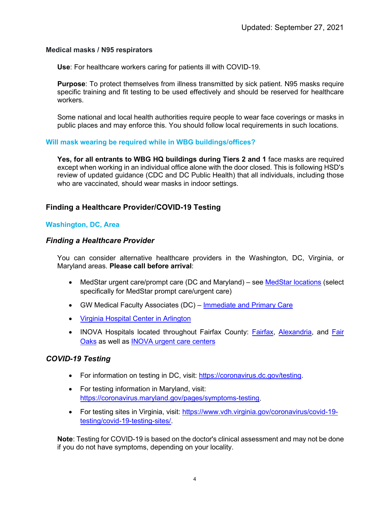### **Medical masks / N95 respirators**

**Use**: For healthcare workers caring for patients ill with COVID-19.

**Purpose**: To protect themselves from illness transmitted by sick patient. N95 masks require specific training and fit testing to be used effectively and should be reserved for healthcare workers.

Some national and local health authorities require people to wear face coverings or masks in public places and may enforce this. You should follow local requirements in such locations.

### **Will mask wearing be required while in WBG buildings/offices?**

**Yes, for all entrants to WBG HQ buildings during Tiers 2 and 1** face masks are required except when working in an individual office alone with the door closed. This is following HSD's review of updated guidance (CDC and DC Public Health) that all individuals, including those who are vaccinated, should wear masks in indoor settings.

# **Finding a Healthcare Provider/COVID-19 Testing**

# **Washington, DC, Area**

# *Finding a Healthcare Provider*

You can consider alternative healthcare providers in the Washington, DC, Virginia, or Maryland areas. **Please call before arrival**:

- MedStar urgent care/prompt care (DC and Maryland) see [MedStar locations](https://www.medstarhealth.org/mhs/our-locations/) (select specifically for MedStar prompt care/urgent care)
- GW Medical Faculty Associates (DC) [Immediate and Primary Care](https://gwdocsipc.com/)
- [Virginia Hospital Center in Arlington](https://www.virginiahospitalcenter.com/)
- INOVA Hospitals located throughout Fairfax County: **Fairfax, Alexandria**, and Fair [Oaks](https://www.inova.org/locations/inova-fair-oaks-hospital) as well as [INOVA urgent care centers](https://www.inova.org/our-services/inova-urgent-care)

# *COVID-19 Testing*

- For information on testing in DC, visit: [https://coronavirus.dc.gov/testing.](https://coronavirus.dc.gov/testing)
- For testing information in Maryland, visit: [https://coronavirus.maryland.gov/pages/symptoms-testing.](https://coronavirus.maryland.gov/pages/symptoms-testing)
- For testing sites in Virginia, visit: [https://www.vdh.virginia.gov/coronavirus/covid-19](https://www.vdh.virginia.gov/coronavirus/covid-19-testing/covid-19-testing-sites/) [testing/covid-19-testing-sites/.](https://www.vdh.virginia.gov/coronavirus/covid-19-testing/covid-19-testing-sites/)

**Note**: Testing for COVID-19 is based on the doctor's clinical assessment and may not be done if you do not have symptoms, depending on your locality.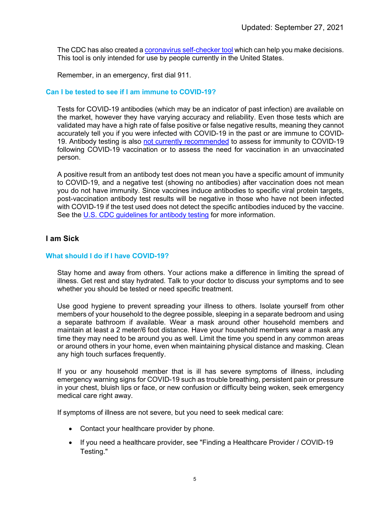The CDC has also created [a coronavirus self-checker tool](https://www.cdc.gov/coronavirus/2019-ncov/symptoms-testing/testing.html) which can help you make decisions. This tool is only intended for use by people currently in the United States.

Remember, in an emergency, first dial 911.

#### **Can I be tested to see if I am immune to COVID-19?**

Tests for COVID-19 antibodies (which may be an indicator of past infection) are available on the market, however they have varying accuracy and reliability. Even those tests which are validated may have a high rate of false positive or false negative results, meaning they cannot accurately tell you if you were infected with COVID-19 in the past or are immune to COVID-19. Antibody testing is also [not currently recommended](https://www.fda.gov/medical-devices/safety-communications/antibody-testing-not-currently-recommended-assess-immunity-after-covid-19-vaccination-fda-safety) to assess for immunity to COVID-19 following COVID-19 vaccination or to assess the need for vaccination in an unvaccinated person.

A positive result from an antibody test does not mean you have a specific amount of immunity to COVID-19, and a negative test (showing no antibodies) after vaccination does not mean you do not have immunity. Since vaccines induce antibodies to specific viral protein targets, post-vaccination antibody test results will be negative in those who have not been infected with COVID-19 if the test used does not detect the specific antibodies induced by the vaccine. See the U.S. CDC quidelines for antibody testing for more information.

### **I am Sick**

### **What should I do if I have COVID-19?**

Stay home and away from others. Your actions make a difference in limiting the spread of illness. Get rest and stay hydrated. Talk to your doctor to discuss your symptoms and to see whether you should be tested or need specific treatment.

Use good hygiene to prevent spreading your illness to others. Isolate yourself from other members of your household to the degree possible, sleeping in a separate bedroom and using a separate bathroom if available. Wear a mask around other household members and maintain at least a 2 meter/6 foot distance. Have your household members wear a mask any time they may need to be around you as well. Limit the time you spend in any common areas or around others in your home, even when maintaining physical distance and masking. Clean any high touch surfaces frequently.

If you or any household member that is ill has severe symptoms of illness, including emergency warning signs for COVID-19 such as trouble breathing, persistent pain or pressure in your chest, bluish lips or face, or new confusion or difficulty being woken, seek emergency medical care right away.

If symptoms of illness are not severe, but you need to seek medical care:

- Contact your healthcare provider by phone.
- If you need a healthcare provider, see "Finding a Healthcare Provider / COVID-19 Testing."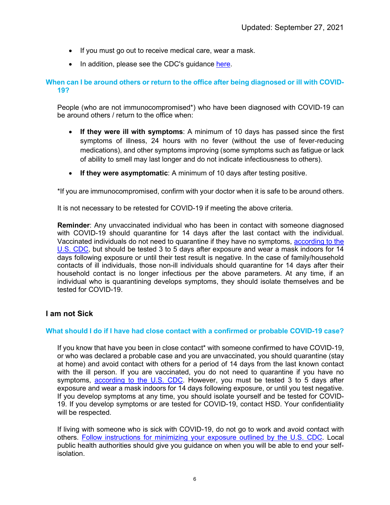- If you must go out to receive medical care, wear a mask.
- In addition, please see the CDC's quidance [here.](https://www.cdc.gov/coronavirus/2019-ncov/downloads/sick-with-2019-nCoV-fact-sheet.pdf)

### **When can I be around others or return to the office after being diagnosed or ill with COVID-19?**

People (who are not immunocompromised\*) who have been diagnosed with COVID-19 can be around others / return to the office when:

- **If they were ill with symptoms**: A minimum of 10 days has passed since the first symptoms of illness, 24 hours with no fever (without the use of fever-reducing medications), and other symptoms improving (some symptoms such as fatigue or lack of ability to smell may last longer and do not indicate infectiousness to others).
- **If they were asymptomatic**: A minimum of 10 days after testing positive.

\*If you are immunocompromised, confirm with your doctor when it is safe to be around others.

It is not necessary to be retested for COVID-19 if meeting the above criteria.

**Reminder**: Any unvaccinated individual who has been in contact with someone diagnosed with COVID-19 should quarantine for 14 days after the last contact with the individual. Vaccinated individuals do not need to quarantine if they have no symptoms, [according to the](https://www.cdc.gov/coronavirus/2019-ncov/your-health/quarantine-isolation.html)  [U.S. CDC,](https://www.cdc.gov/coronavirus/2019-ncov/your-health/quarantine-isolation.html) but should be tested 3 to 5 days after exposure and wear a mask indoors for 14 days following exposure or until their test result is negative. In the case of family/household contacts of ill individuals, those non-ill individuals should quarantine for 14 days after their household contact is no longer infectious per the above parameters. At any time, if an individual who is quarantining develops symptoms, they should isolate themselves and be tested for COVID-19.

# **I am not Sick**

### **What should I do if I have had close contact with a confirmed or probable COVID-19 case?**

If you know that have you been in close contact\* with someone confirmed to have COVID-19, or who was declared a probable case and you are unvaccinated, you should quarantine (stay at home) and avoid contact with others for a period of 14 days from the last known contact with the ill person. If you are vaccinated, you do not need to quarantine if you have no symptoms, [according to the U.S. CDC.](https://www.cdc.gov/coronavirus/2019-ncov/your-health/quarantine-isolation.html) However, you must be tested 3 to 5 days after exposure and wear a mask indoors for 14 days following exposure, or until you test negative. If you develop symptoms at any time, you should isolate yourself and be tested for COVID-19. If you develop symptoms or are tested for COVID-19, contact HSD. Your confidentiality will be respected.

If living with someone who is sick with COVID-19, do not go to work and avoid contact with others. [Follow instructions for minimizing your exposure outlined by the U.S. CDC.](https://www.cdc.gov/coronavirus/2019-ncov/if-you-are-sick/care-for-someone.html) Local public health authorities should give you guidance on when you will be able to end your selfisolation.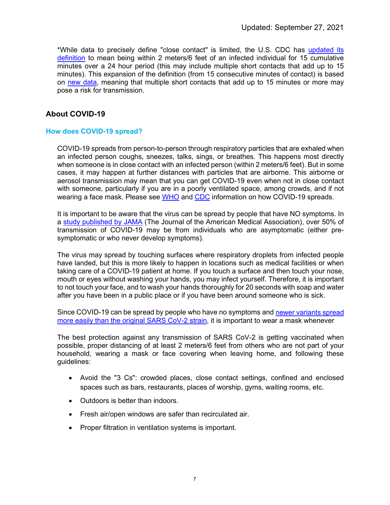\*While data to precisely define "close contact" is limited, the U.S. CDC has [updated its](https://www.cdc.gov/coronavirus/2019-ncov/php/contact-tracing/contact-tracing-plan/appendix.html#contact)  [definition](https://www.cdc.gov/coronavirus/2019-ncov/php/contact-tracing/contact-tracing-plan/appendix.html#contact) to mean being within 2 meters/6 feet of an infected individual for 15 cumulative minutes over a 24 hour period (this may include multiple short contacts that add up to 15 minutes). This expansion of the definition (from 15 consecutive minutes of contact) is based on [new data,](https://www.cdc.gov/mmwr/volumes/69/wr/mm6943e1.htm) meaning that multiple short contacts that add up to 15 minutes or more may pose a risk for transmission.

# **About COVID-19**

### **How does COVID-19 spread?**

COVID-19 spreads from person-to-person through respiratory particles that are exhaled when an infected person coughs, sneezes, talks, sings, or breathes. This happens most directly when someone is in close contact with an infected person (within 2 meters/6 feet). But in some cases, it may happen at further distances with particles that are airborne. This airborne or aerosol transmission may mean that you can get COVID-19 even when not in close contact with someone, particularly if you are in a poorly ventilated space, among crowds, and if not wearing a face mask. Please see [WHO](https://www.who.int/emergencies/diseases/novel-coronavirus-2019/question-and-answers-hub/q-a-detail/coronavirus-disease-covid-19-how-is-it-transmitted) and [CDC](https://www.cdc.gov/coronavirus/2019-ncov/prevent-getting-sick/how-covid-spreads.html) information on how COVID-19 spreads.

It is important to be aware that the virus can be spread by people that have NO symptoms. In a [study published by JAMA](https://jamanetwork.com/journals/jamanetworkopen/fullarticle/2774707) (The Journal of the American Medical Association), over 50% of transmission of COVID-19 may be from individuals who are asymptomatic (either presymptomatic or who never develop symptoms).

The virus may spread by touching surfaces where respiratory droplets from infected people have landed, but this is more likely to happen in locations such as medical facilities or when taking care of a COVID-19 patient at home. If you touch a surface and then touch your nose, mouth or eyes without washing your hands, you may infect yourself. Therefore, it is important to not touch your face, and to wash your hands thoroughly for 20 seconds with soap and water after you have been in a public place or if you have been around someone who is sick.

Since COVID-19 can be spread by people who have no symptoms an[d newer variants spread](https://www.cdc.gov/coronavirus/2019-ncov/variants/delta-variant.html)  [more easily than the original SARS CoV-2 strain,](https://www.cdc.gov/coronavirus/2019-ncov/variants/delta-variant.html) it is important to wear a mask whenever

The best protection against any transmission of SARS CoV-2 is getting vaccinated when possible, proper distancing of at least 2 meters/6 feet from others who are not part of your household, wearing a mask or face covering when leaving home, and following these guidelines:

- Avoid the "3 Cs": crowded places, close contact settings, confined and enclosed spaces such as bars, restaurants, places of worship, gyms, waiting rooms, etc.
- Outdoors is better than indoors.
- Fresh air/open windows are safer than recirculated air.
- Proper filtration in ventilation systems is important.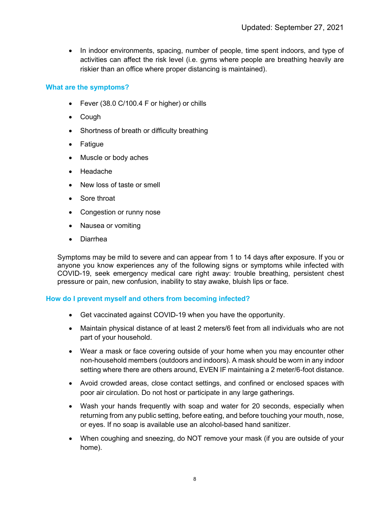• In indoor environments, spacing, number of people, time spent indoors, and type of activities can affect the risk level (i.e. gyms where people are breathing heavily are riskier than an office where proper distancing is maintained).

### **What are the symptoms?**

- Fever (38.0 C/100.4 F or higher) or chills
- Cough
- Shortness of breath or difficulty breathing
- Fatigue
- Muscle or body aches
- Headache
- New loss of taste or smell
- Sore throat
- Congestion or runny nose
- Nausea or vomiting
- Diarrhea

Symptoms may be mild to severe and can appear from 1 to 14 days after exposure. If you or anyone you know experiences any of the following signs or symptoms while infected with COVID-19, seek emergency medical care right away: trouble breathing, persistent chest pressure or pain, new confusion, inability to stay awake, bluish lips or face.

### **How do I prevent myself and others from becoming infected?**

- Get vaccinated against COVID-19 when you have the opportunity.
- Maintain physical distance of at least 2 meters/6 feet from all individuals who are not part of your household.
- Wear a mask or face covering outside of your home when you may encounter other non-household members (outdoors and indoors). A mask should be worn in any indoor setting where there are others around, EVEN IF maintaining a 2 meter/6-foot distance.
- Avoid crowded areas, close contact settings, and confined or enclosed spaces with poor air circulation. Do not host or participate in any large gatherings.
- Wash your hands frequently with soap and water for 20 seconds, especially when returning from any public setting, before eating, and before touching your mouth, nose, or eyes. If no soap is available use an alcohol-based hand sanitizer.
- When coughing and sneezing, do NOT remove your mask (if you are outside of your home).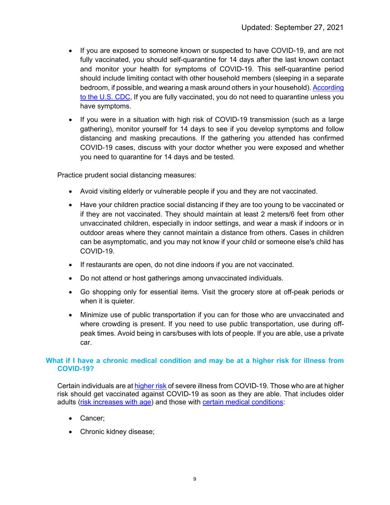- If you are exposed to someone known or suspected to have COVID-19, and are not fully vaccinated, you should self-quarantine for 14 days after the last known contact and monitor your health for symptoms of COVID-19. This self-quarantine period should include limiting contact with other household members (sleeping in a separate bedroom, if possible, and wearing a mask around others in your household). According [to the U.S. CDC,](https://www.cdc.gov/coronavirus/2019-ncov/if-you-are-sick/quarantine.html) If you are fully vaccinated, you do not need to quarantine unless you have symptoms.
- If you were in a situation with high risk of COVID-19 transmission (such as a large gathering), monitor yourself for 14 days to see if you develop symptoms and follow distancing and masking precautions. If the gathering you attended has confirmed COVID-19 cases, discuss with your doctor whether you were exposed and whether you need to quarantine for 14 days and be tested.

Practice prudent social distancing measures:

- Avoid visiting elderly or vulnerable people if you and they are not vaccinated.
- Have your children practice social distancing if they are too young to be vaccinated or if they are not vaccinated. They should maintain at least 2 meters/6 feet from other unvaccinated children, especially in indoor settings, and wear a mask if indoors or in outdoor areas where they cannot maintain a distance from others. Cases in children can be asymptomatic, and you may not know if your child or someone else's child has COVID-19.
- If restaurants are open, do not dine indoors if you are not vaccinated.
- Do not attend or host gatherings among unvaccinated individuals.
- Go shopping only for essential items. Visit the grocery store at off-peak periods or when it is quieter.
- Minimize use of public transportation if you can for those who are unvaccinated and where crowding is present. If you need to use public transportation, use during offpeak times. Avoid being in cars/buses with lots of people. If you are able, use a private car.

### **What if I have a chronic medical condition and may be at a higher risk for illness from COVID-19?**

Certain individuals are a[t higher risk](https://www.cdc.gov/coronavirus/2019-ncov/need-extra-precautions/index.html) of severe illness from COVID-19. Those who are at higher risk should get vaccinated against COVID-19 as soon as they are able. That includes older adults [\(risk increases with age\)](https://www.cdc.gov/coronavirus/2019-ncov/need-extra-precautions/older-adults.html) and those with [certain medical conditions:](https://www.cdc.gov/coronavirus/2019-ncov/need-extra-precautions/people-with-medical-conditions.html)

- Cancer;
- Chronic kidney disease;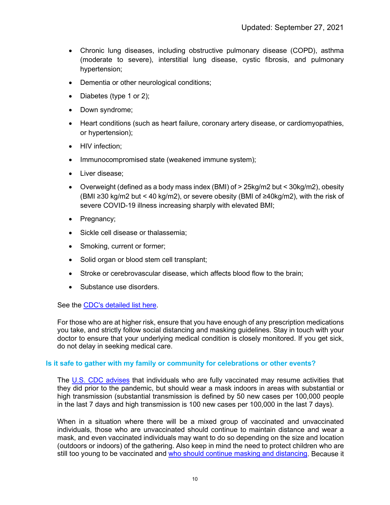- Chronic lung diseases, including obstructive pulmonary disease (COPD), asthma (moderate to severe), interstitial lung disease, cystic fibrosis, and pulmonary hypertension;
- Dementia or other neurological conditions;
- Diabetes (type 1 or 2);
- Down syndrome;
- Heart conditions (such as heart failure, coronary artery disease, or cardiomyopathies, or hypertension);
- HIV infection:
- Immunocompromised state (weakened immune system);
- Liver disease;
- Overweight (defined as a body mass index (BMI) of > 25kg/m2 but < 30kg/m2), obesity (BMI ≥30 kg/m2 but < 40 kg/m2), or severe obesity (BMI of ≥40kg/m2), with the risk of severe COVID-19 illness increasing sharply with elevated BMI;
- Pregnancy;
- Sickle cell disease or thalassemia;
- Smoking, current or former;
- Solid organ or blood stem cell transplant;
- Stroke or cerebrovascular disease, which affects blood flow to the brain;
- Substance use disorders.

See the [CDC's detailed list here.](https://www.cdc.gov/coronavirus/2019-ncov/need-extra-precautions/people-with-medical-conditions.html)

For those who are at higher risk, ensure that you have enough of any prescription medications you take, and strictly follow social distancing and masking guidelines. Stay in touch with your doctor to ensure that your underlying medical condition is closely monitored. If you get sick, do not delay in seeking medical care.

# **Is it safe to gather with my family or community for celebrations or other events?**

The [U.S. CDC advises](https://www.cdc.gov/coronavirus/2019-ncov/vaccines/fully-vaccinated.html) that individuals who are fully vaccinated may resume activities that they did prior to the pandemic, but should wear a mask indoors in areas with substantial or high transmission (substantial transmission is defined by 50 new cases per 100,000 people in the last 7 days and high transmission is 100 new cases per 100,000 in the last 7 days).

When in a situation where there will be a mixed group of vaccinated and unvaccinated individuals, those who are unvaccinated should continue to maintain distance and wear a mask, and even vaccinated individuals may want to do so depending on the size and location (outdoors or indoors) of the gathering. Also keep in mind the need to protect children who are still too young to be vaccinated and [who should continue masking and distancing.](https://www.cdc.gov/coronavirus/2019-ncov/your-health/about-covid-19/caring-for-children/families.html) Because it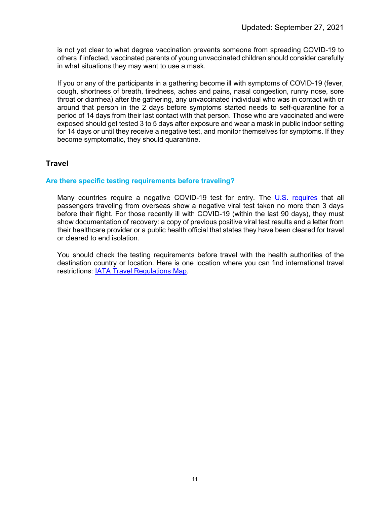is not yet clear to what degree vaccination prevents someone from spreading COVID-19 to others if infected, vaccinated parents of young unvaccinated children should consider carefully in what situations they may want to use a mask.

If you or any of the participants in a gathering become ill with symptoms of COVID-19 (fever, cough, shortness of breath, tiredness, aches and pains, nasal congestion, runny nose, sore throat or diarrhea) after the gathering, any unvaccinated individual who was in contact with or around that person in the 2 days before symptoms started needs to self-quarantine for a period of 14 days from their last contact with that person. Those who are vaccinated and were exposed should get tested 3 to 5 days after exposure and wear a mask in public indoor setting for 14 days or until they receive a negative test, and monitor themselves for symptoms. If they become symptomatic, they should quarantine.

# **Travel**

### **Are there specific testing requirements before traveling?**

Many countries require a negative COVID-19 test for entry. The [U.S. requires](https://www.cdc.gov/coronavirus/2019-ncov/travelers/testing-air-travel.html) that all passengers traveling from overseas show a negative viral test taken no more than 3 days before their flight. For those recently ill with COVID-19 (within the last 90 days), they must show documentation of recovery: a copy of previous positive viral test results and a letter from their healthcare provider or a public health official that states they have been cleared for travel or cleared to end isolation.

You should check the testing requirements before travel with the health authorities of the destination country or location. Here is one location where you can find international travel restrictions: **IATA Travel Regulations Map.**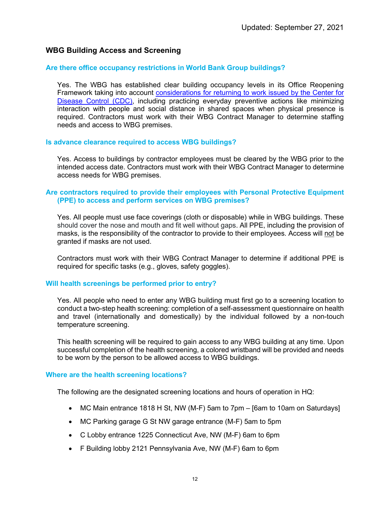### **WBG Building Access and Screening**

#### **Are there office occupancy restrictions in World Bank Group buildings?**

Yes. The WBG has established clear building occupancy levels in its Office Reopening Framework taking into account [considerations for returning to work issued by the Center for](https://www.cdc.gov/coronavirus/2019-ncov/daily-life-coping/returning-to-work.html)  [Disease Control \(CDC\),](https://www.cdc.gov/coronavirus/2019-ncov/daily-life-coping/returning-to-work.html) including practicing everyday preventive actions like minimizing interaction with people and social distance in shared spaces when physical presence is required. Contractors must work with their WBG Contract Manager to determine staffing needs and access to WBG premises.

#### **Is advance clearance required to access WBG buildings?**

Yes. Access to buildings by contractor employees must be cleared by the WBG prior to the intended access date. Contractors must work with their WBG Contract Manager to determine access needs for WBG premises.

#### **Are contractors required to provide their employees with Personal Protective Equipment (PPE) to access and perform services on WBG premises?**

Yes. All people must use face coverings (cloth or disposable) while in WBG buildings. These should cover the nose and mouth and fit well without gaps. All PPE, including the provision of masks, is the responsibility of the contractor to provide to their employees. Access will not be granted if masks are not used.

Contractors must work with their WBG Contract Manager to determine if additional PPE is required for specific tasks (e.g., gloves, safety goggles).

#### **Will health screenings be performed prior to entry?**

Yes. All people who need to enter any WBG building must first go to a screening location to conduct a two-step health screening: completion of a self-assessment questionnaire on health and travel (internationally and domestically) by the individual followed by a non-touch temperature screening.

This health screening will be required to gain access to any WBG building at any time. Upon successful completion of the health screening, a colored wristband will be provided and needs to be worn by the person to be allowed access to WBG buildings.

#### **Where are the health screening locations?**

The following are the designated screening locations and hours of operation in HQ:

- MC Main entrance 1818 H St, NW (M-F) 5am to 7pm [6am to 10am on Saturdays]
- MC Parking garage G St NW garage entrance (M-F) 5am to 5pm
- C Lobby entrance 1225 Connecticut Ave, NW (M-F) 6am to 6pm
- F Building lobby 2121 Pennsylvania Ave, NW (M-F) 6am to 6pm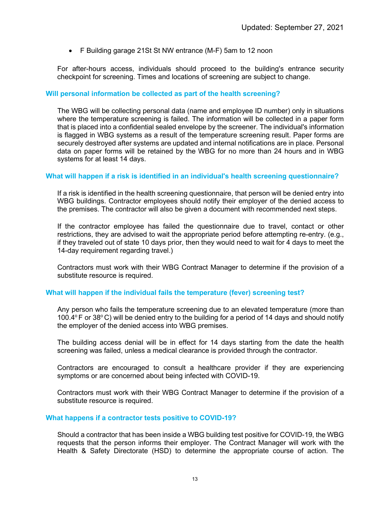• F Building garage 21St St NW entrance (M-F) 5am to 12 noon

For after-hours access, individuals should proceed to the building's entrance security checkpoint for screening. Times and locations of screening are subject to change.

#### **Will personal information be collected as part of the health screening?**

The WBG will be collecting personal data (name and employee ID number) only in situations where the temperature screening is failed. The information will be collected in a paper form that is placed into a confidential sealed envelope by the screener. The individual's information is flagged in WBG systems as a result of the temperature screening result. Paper forms are securely destroyed after systems are updated and internal notifications are in place. Personal data on paper forms will be retained by the WBG for no more than 24 hours and in WBG systems for at least 14 days.

#### **What will happen if a risk is identified in an individual's health screening questionnaire?**

If a risk is identified in the health screening questionnaire, that person will be denied entry into WBG buildings. Contractor employees should notify their employer of the denied access to the premises. The contractor will also be given a document with recommended next steps.

If the contractor employee has failed the questionnaire due to travel, contact or other restrictions, they are advised to wait the appropriate period before attempting re-entry. (e.g., if they traveled out of state 10 days prior, then they would need to wait for 4 days to meet the 14-day requirement regarding travel.)

Contractors must work with their WBG Contract Manager to determine if the provision of a substitute resource is required.

#### **What will happen if the individual fails the temperature (fever) screening test?**

Any person who fails the temperature screening due to an elevated temperature (more than 100.4 $\degree$  F or 38 $\degree$ C) will be denied entry to the building for a period of 14 days and should notify the employer of the denied access into WBG premises.

The building access denial will be in effect for 14 days starting from the date the health screening was failed, unless a medical clearance is provided through the contractor.

Contractors are encouraged to consult a healthcare provider if they are experiencing symptoms or are concerned about being infected with COVID-19.

Contractors must work with their WBG Contract Manager to determine if the provision of a substitute resource is required.

#### **What happens if a contractor tests positive to COVID-19?**

Should a contractor that has been inside a WBG building test positive for COVID-19, the WBG requests that the person informs their employer. The Contract Manager will work with the Health & Safety Directorate (HSD) to determine the appropriate course of action. The